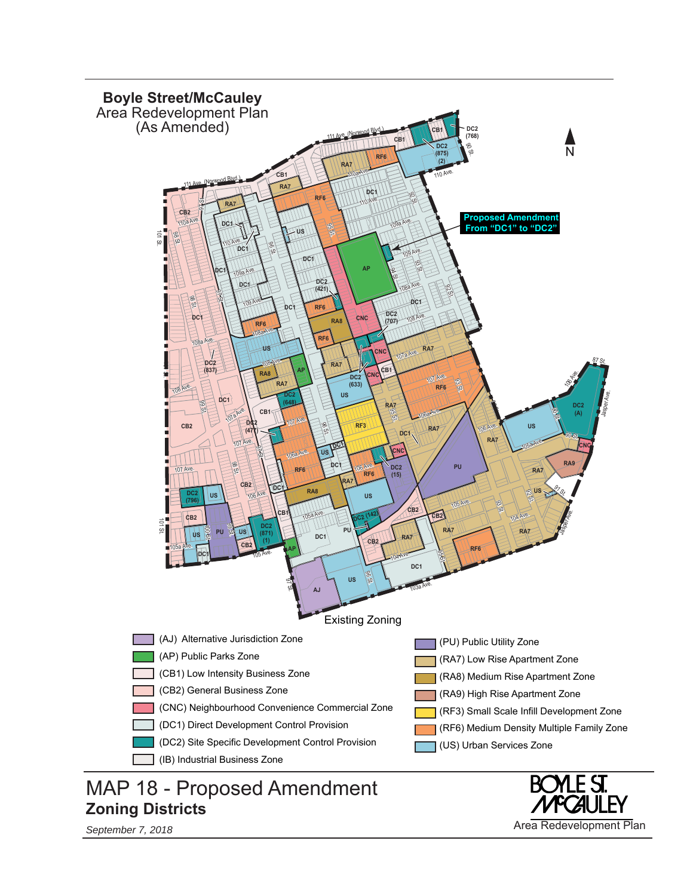

*September 7, 2018* Area Redevelopment Plan